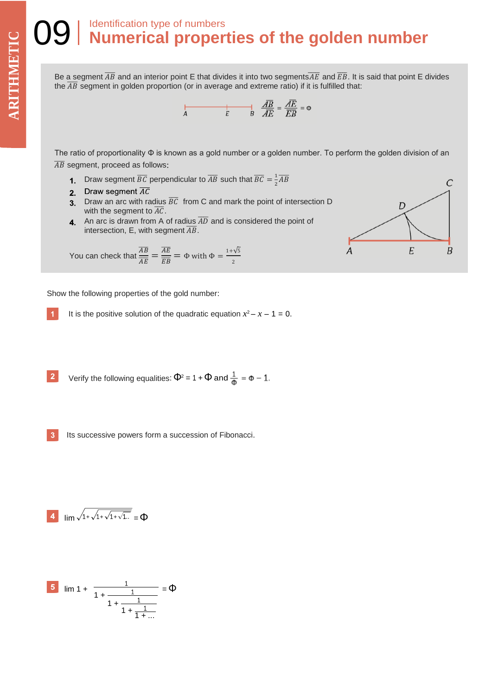## Identification type of numbers **Numerical properties of the golden number THE SEE SEE SEE SEE SEE SPACE**

Be a segment  $\overline{AB}$  and an interior point E that divides it into two segments $\overline{AE}$  and  $\overline{EB}$ . It is said that point E divides the  $\overline{AB}$  segment in golden proportion (or in average and extreme ratio) if it is fulfilled that:

$$
\overrightarrow{AB} = \frac{\overrightarrow{AB}}{\overrightarrow{AE}} = \frac{\overrightarrow{AE}}{\overrightarrow{EB}} = \Phi
$$

The ratio of proportionality Φ is known as a gold number or a golden number. To perform the golden division of an  $\overline{AB}$  segment, proceed as follows:

- Draw segment  $\overline{BC}$  perpendicular to  $\overline{AB}$  such that  $\overline{BC} = \frac{1}{2}$  $rac{1}{2}$  $\overline{AB}$
- 2. Draw segment  $\overline{AC}$
- 3. Draw an arc with radius  $\overline{BC}$  from C and mark the point of intersection D with the segment to  $\overline{AC}$ .
- **4** An arc is drawn from A of radius  $\overline{AD}$  and is considered the point of intersection, E, with segment  $\overline{AB}$ .

You can check that  $\frac{\overline{AB}}{\sqrt{B}}$  $\frac{\overline{AB}}{\overline{AE}} = \frac{\overline{AE}}{\overline{EB}}$  $rac{AE}{EB} = \Phi$  with  $\Phi = \frac{1+\sqrt{5}}{2}$ 2

Show the following properties of the gold number:

It is the positive solution of the quadratic equation 
$$
x^2 - x - 1 = 0
$$
.

2 Verify the following equalities: 
$$
\Phi^2 = 1 + \Phi
$$
 and  $\frac{1}{\Phi} = \Phi - 1$ .

 $\mathbf{3}$ Its successive powers form a succession of Fibonacci.

$$
\frac{4}{\lim \sqrt{1+\sqrt{1+\sqrt{1+\sqrt{1...}}}}}= \Phi
$$

5 
$$
\lim_{1 + \frac{1}{1 + \frac{1}{1 + \frac{1}{1 + \frac{1}{1 + \dotsb}}}}}
$$
 =  $\Phi$